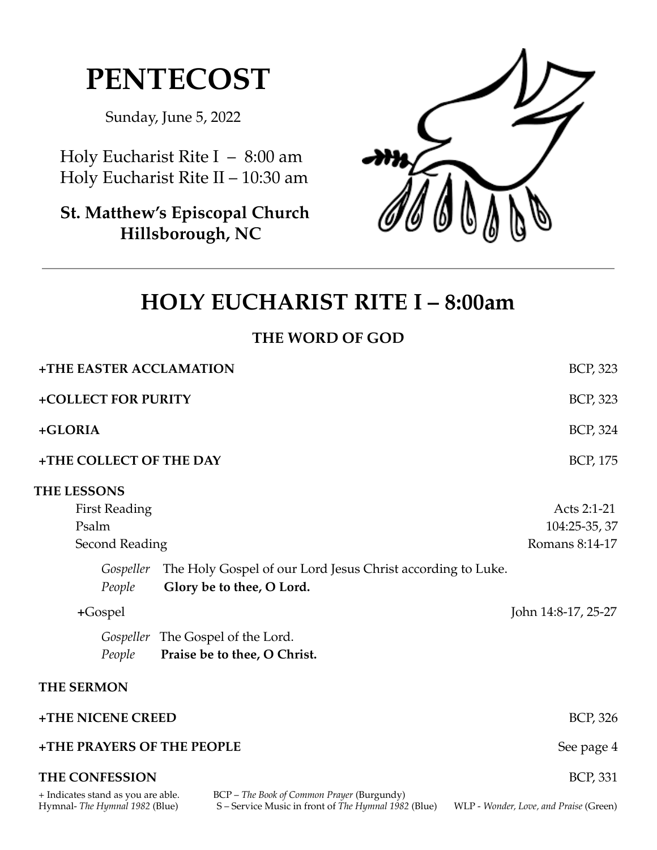# **PENTECOST**

Sunday, June 5, 2022

Holy Eucharist Rite I – 8:00 am Holy Eucharist Rite II – 10:30 am

**St. Matthew's Episcopal Church Hillsborough, NC**



# **HOLY EUCHARIST RITE I – 8:00am**

# **THE WORD OF GOD**

| +THE EASTER ACCLAMATION                                                                                                                                                  | <b>BCP, 323</b>                        |
|--------------------------------------------------------------------------------------------------------------------------------------------------------------------------|----------------------------------------|
| +COLLECT FOR PURITY                                                                                                                                                      | BCP, 323                               |
| +GLORIA                                                                                                                                                                  | BCP, 324                               |
| +THE COLLECT OF THE DAY                                                                                                                                                  | BCP, 175                               |
| <b>THE LESSONS</b>                                                                                                                                                       |                                        |
| <b>First Reading</b>                                                                                                                                                     | Acts 2:1-21                            |
| Psalm                                                                                                                                                                    | 104:25-35, 37                          |
| <b>Second Reading</b>                                                                                                                                                    | Romans 8:14-17                         |
| Gospeller The Holy Gospel of our Lord Jesus Christ according to Luke.<br>Glory be to thee, O Lord.<br>People                                                             |                                        |
| $+Gospel$                                                                                                                                                                | John 14:8-17, 25-27                    |
| Gospeller The Gospel of the Lord.<br>Praise be to thee, O Christ.<br>People                                                                                              |                                        |
| <b>THE SERMON</b>                                                                                                                                                        |                                        |
| +THE NICENE CREED                                                                                                                                                        | <b>BCP, 326</b>                        |
| +THE PRAYERS OF THE PEOPLE                                                                                                                                               | See page 4                             |
| <b>THE CONFESSION</b>                                                                                                                                                    | <b>BCP, 331</b>                        |
| BCP - The Book of Common Prayer (Burgundy)<br>+ Indicates stand as you are able.<br>S-Service Music in front of The Hymnal 1982 (Blue)<br>Hymnal- The Hymnal 1982 (Blue) | WLP - Wonder, Love, and Praise (Green) |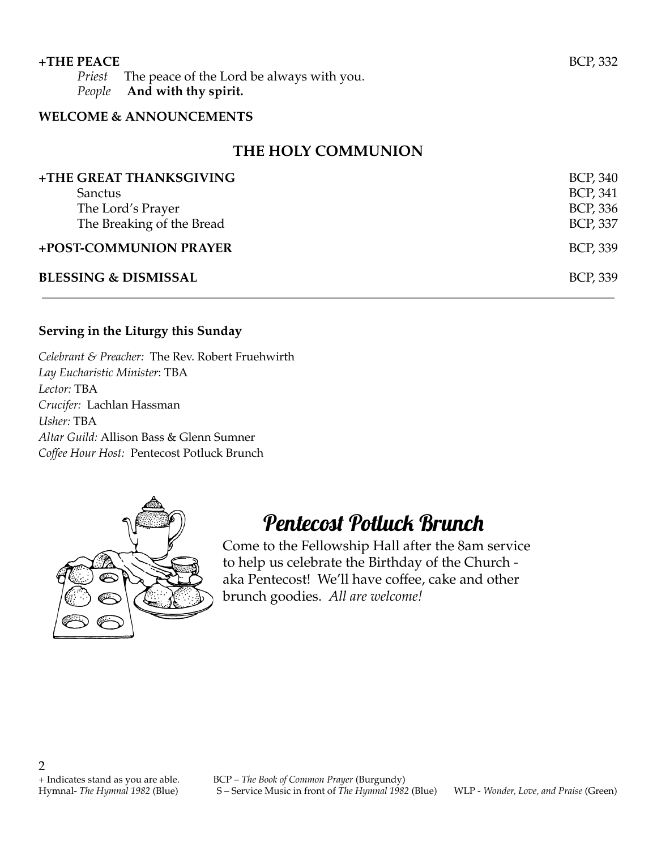## **WELCOME & ANNOUNCEMENTS**

# **THE HOLY COMMUNION**

| +THE GREAT THANKSGIVING         | <b>BCP, 340</b> |
|---------------------------------|-----------------|
| Sanctus                         | <b>BCP, 341</b> |
| The Lord's Prayer               | <b>BCP, 336</b> |
| The Breaking of the Bread       | <b>BCP, 337</b> |
| +POST-COMMUNION PRAYER          | <b>BCP, 339</b> |
| <b>BLESSING &amp; DISMISSAL</b> | <b>BCP, 339</b> |

## **Serving in the Liturgy this Sunday**

*Celebrant & Preacher:* The Rev. Robert Fruehwirth *Lay Eucharistic Minister*: TBA *Lector:* TBA *Crucifer:* Lachlan Hassman *Usher:* TBA *Altar Guild:* Allison Bass & Glenn Sumner *Coffee Hour Host:* Pentecost Potluck Brunch



# Pentecost Potluck Brunch

Come to the Fellowship Hall after the 8am service to help us celebrate the Birthday of the Church aka Pentecost! We'll have coffee, cake and other brunch goodies. *All are welcome!*

2

+ Indicates stand as you are able. BCP – *The Book of Common Prayer* (Burgundy) Hymnal- *The Hymnal 1982* (Blue) S – Service Music in front of *The Hymnal 1982* (Blue) WLP - *Wonder, Love, and Praise* (Green)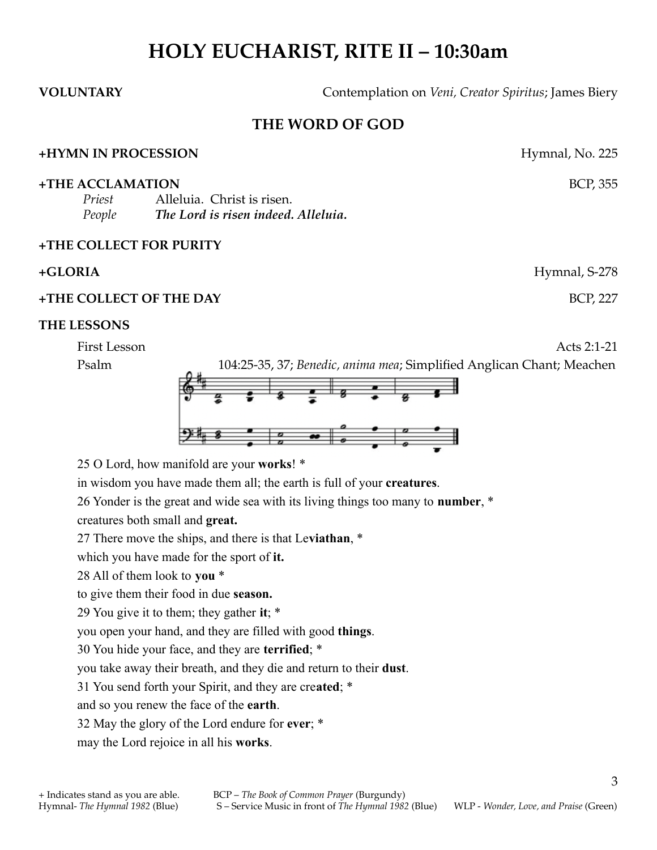# **HOLY EUCHARIST, RITE II – 10:30am**

**VOLUNTARY** Contemplation on *Veni, Creator Spiritus*; James Biery

# **THE WORD OF GOD**

#### **+HYMN IN PROCESSION** Hymnal, No. 225

**+THE ACCLAMATION** BCP, 355

*Priest* Alleluia. Christ is risen. *People The Lord is risen indeed. Alleluia.*

### **+THE COLLECT FOR PURITY**

#### **+GLORIA** Hymnal, S-278

#### **+THE COLLECT OF THE DAY** BCP, 227

#### **THE LESSONS**

First Lesson Acts 2:1-21

Psalm 104:25-35, 37; *Benedic, anima mea*; Simplified Anglican Chant; Meachen



25 O Lord, how manifold are your **works**! \*

in wisdom you have made them all; the earth is full of your **creatures**.

26 Yonder is the great and wide sea with its living things too many to **number**, \*

creatures both small and **great.**

27 There move the ships, and there is that Le**viathan**, \*

which you have made for the sport of **it.**

28 All of them look to **you** \*

to give them their food in due **season.**

29 You give it to them; they gather **it**; \*

you open your hand, and they are filled with good **things**.

30 You hide your face, and they are **terrified**; \*

you take away their breath, and they die and return to their **dust**.

31 You send forth your Spirit, and they are cre**ated**; \*

and so you renew the face of the **earth**.

32 May the glory of the Lord endure for **ever**; \*

may the Lord rejoice in all his **works**.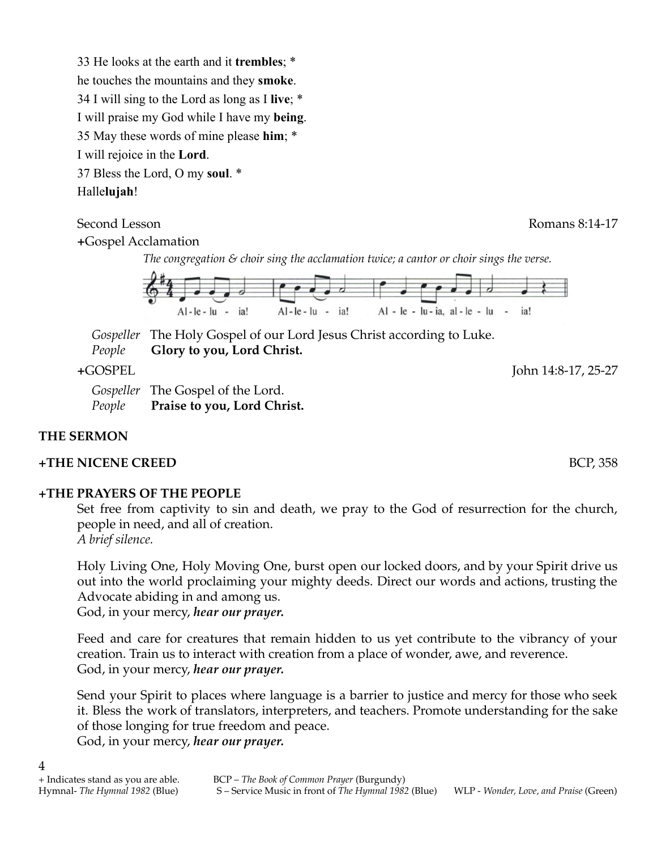33 He looks at the earth and it **trembles**; \* he touches the mountains and they **smoke**. 34 I will sing to the Lord as long as I **live**; \* I will praise my God while I have my **being**. 35 May these words of mine please **him**; \* I will rejoice in the **Lord**. 37 Bless the Lord, O my **soul**. \* Halle**lujah**!

Second Lesson Romans 8:14-17

**+**Gospel Acclamation

*The congregation & choir sing the acclamation twice; a cantor or choir sings the verse.*



*Gospeller* The Holy Gospel of our Lord Jesus Christ according to Luke. *People* **Glory to you, Lord Christ.**

**+**GOSPEL John 14:8-17, 25-27

*Gospeller* The Gospel of the Lord. *People* **Praise to you, Lord Christ.**

# **THE SERMON**

4

# **+THE NICENE CREED** BCP, 358

# **+THE PRAYERS OF THE PEOPLE**

Set free from captivity to sin and death, we pray to the God of resurrection for the church, people in need, and all of creation. *A brief silence.*

Holy Living One, Holy Moving One, burst open our locked doors, and by your Spirit drive us out into the world proclaiming your mighty deeds. Direct our words and actions, trusting the Advocate abiding in and among us.

God, in your mercy, *hear our prayer.*

Feed and care for creatures that remain hidden to us yet contribute to the vibrancy of your creation. Train us to interact with creation from a place of wonder, awe, and reverence. God, in your mercy, *hear our prayer.*

Send your Spirit to places where language is a barrier to justice and mercy for those who seek it. Bless the work of translators, interpreters, and teachers. Promote understanding for the sake of those longing for true freedom and peace. God, in your mercy, *hear our prayer.*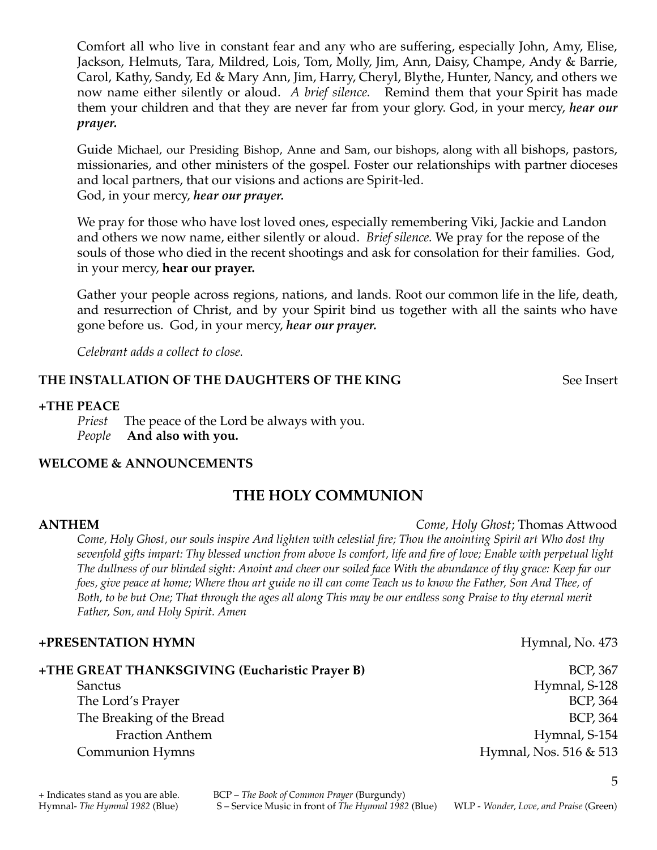Comfort all who live in constant fear and any who are suffering, especially John, Amy, Elise, Jackson, Helmuts, Tara, Mildred, Lois, Tom, Molly, Jim, Ann, Daisy, Champe, Andy & Barrie, Carol, Kathy, Sandy, Ed & Mary Ann, Jim, Harry, Cheryl, Blythe, Hunter, Nancy, and others we now name either silently or aloud. *A brief silence.* Remind them that your Spirit has made them your children and that they are never far from your glory. God, in your mercy, *hear our prayer.*

Guide Michael, our Presiding Bishop, Anne and Sam, our bishops, along with all bishops, pastors, missionaries, and other ministers of the gospel. Foster our relationships with partner dioceses and local partners, that our visions and actions are Spirit-led. God, in your mercy, *hear our prayer.*

We pray for those who have lost loved ones, especially remembering Viki, Jackie and Landon and others we now name, either silently or aloud. *Brief silence.* We pray for the repose of the souls of those who died in the recent shootings and ask for consolation for their families. God, in your mercy, **hear our prayer.**

Gather your people across regions, nations, and lands. Root our common life in the life, death, and resurrection of Christ, and by your Spirit bind us together with all the saints who have gone before us. God, in your mercy, *hear our prayer.*

*Celebrant adds a collect to close.*

#### **THE INSTALLATION OF THE DAUGHTERS OF THE KING** See Insert

#### **+THE PEACE**

*Priest* The peace of the Lord be always with you. *People* **And also with you.**

#### **WELCOME & ANNOUNCEMENTS**

# **THE HOLY COMMUNION**

#### **ANTHEM** *Come, Holy Ghost*; Thomas Attwood

Come, Holy Ghost, our souls inspire And lighten with celestial fire; Thou the anointing Spirit art Who dost thy sevenfold gifts impart: Thy blessed unction from above Is comfort, life and fire of love; Enable with perpetual light The dullness of our blinded sight: Anoint and cheer our soiled face With the abundance of thy grace: Keep far our foes, give peace at home; Where thou art guide no ill can come Teach us to know the Father, Son And Thee, of Both, to be but One; That through the ages all along This may be our endless song Praise to thy eternal merit *Father, Son, and Holy Spirit. Amen*

#### **+PRESENTATION HYMN**  $\bullet$  473

## **+THE GREAT THANKSGIVING (Eucharistic Prayer B)** BCP, 367 Sanctus Hymnal, S-128 The Lord's Prayer BCP, 364 The Breaking of the Bread BCP, 364 Fraction Anthem Hymnal, S-154 Communion Hymns **Hymnal**, Nos. 516 & 513

5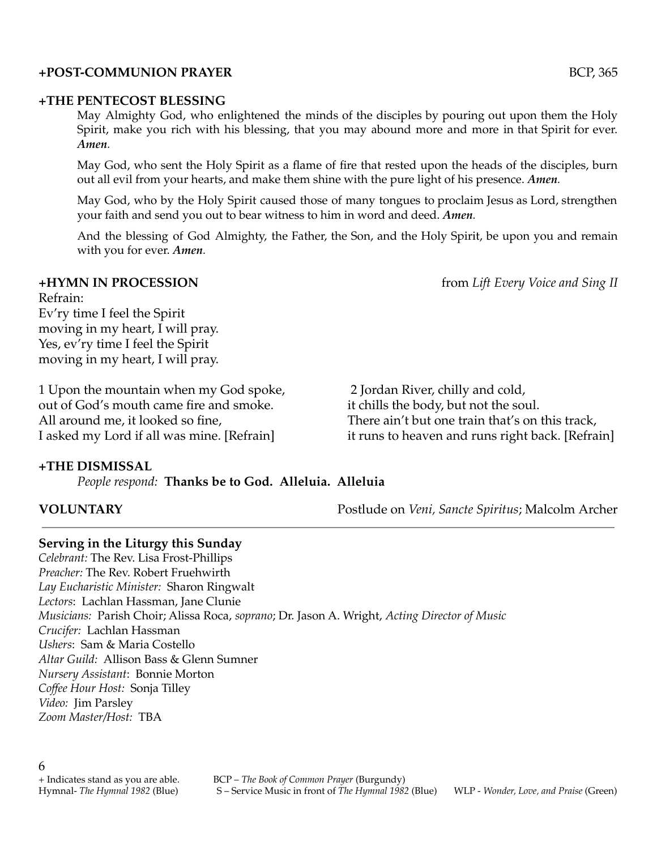#### **+POST-COMMUNION PRAYER** BCP, 365

#### **+THE PENTECOST BLESSING**

May Almighty God, who enlightened the minds of the disciples by pouring out upon them the Holy Spirit, make you rich with his blessing, that you may abound more and more in that Spirit for ever. *Amen.*

May God, who sent the Holy Spirit as a flame of fire that rested upon the heads of the disciples, burn out all evil from your hearts, and make them shine with the pure light of his presence. *Amen.*

May God, who by the Holy Spirit caused those of many tongues to proclaim Jesus as Lord, strengthen your faith and send you out to bear witness to him in word and deed. *Amen.*

And the blessing of God Almighty, the Father, the Son, and the Holy Spirit, be upon you and remain with you for ever. *Amen.*

#### **+HYMN IN PROCESSION** from *Lift Every Voice and Sing II*

Refrain: Ev'ry time I feel the Spirit moving in my heart, I will pray. Yes, ev'ry time I feel the Spirit moving in my heart, I will pray.

1 Upon the mountain when my God spoke, out of God's mouth came fire and smoke. All around me, it looked so fine, I asked my Lord if all was mine. [Refrain]

2 Jordan River, chilly and cold, it chills the body, but not the soul. There ain't but one train that's on this track, it runs to heaven and runs right back. [Refrain]

### **+THE DISMISSAL**

*People respond:* **Thanks be to God. Alleluia. Alleluia**

**VOLUNTARY** Postlude on *Veni, Sancte Spiritus*; Malcolm Archer

### **Serving in the Liturgy this Sunday**

*Celebrant:* The Rev. Lisa Frost-Phillips *Preacher:* The Rev. Robert Fruehwirth *Lay Eucharistic Minister:* Sharon Ringwalt *Lectors*: Lachlan Hassman, Jane Clunie *Musicians:* Parish Choir; Alissa Roca, *soprano*; Dr. Jason A. Wright, *Acting Director of Music Crucifer:* Lachlan Hassman *Ushers*: Sam & Maria Costello *Altar Guild:* Allison Bass & Glenn Sumner *Nursery Assistant*: Bonnie Morton *Coffee Hour Host:* Sonja Tilley *Video:* Jim Parsley *Zoom Master/Host:* TBA

+ Indicates stand as you are able. BCP – *The Book of Common Prayer* (Burgundy) Hymnal- *The Hymnal 1982* (Blue) S – Service Music in front of *The Hymnal 1982* (Blue) WLP - *Wonder, Love, and Praise* (Green)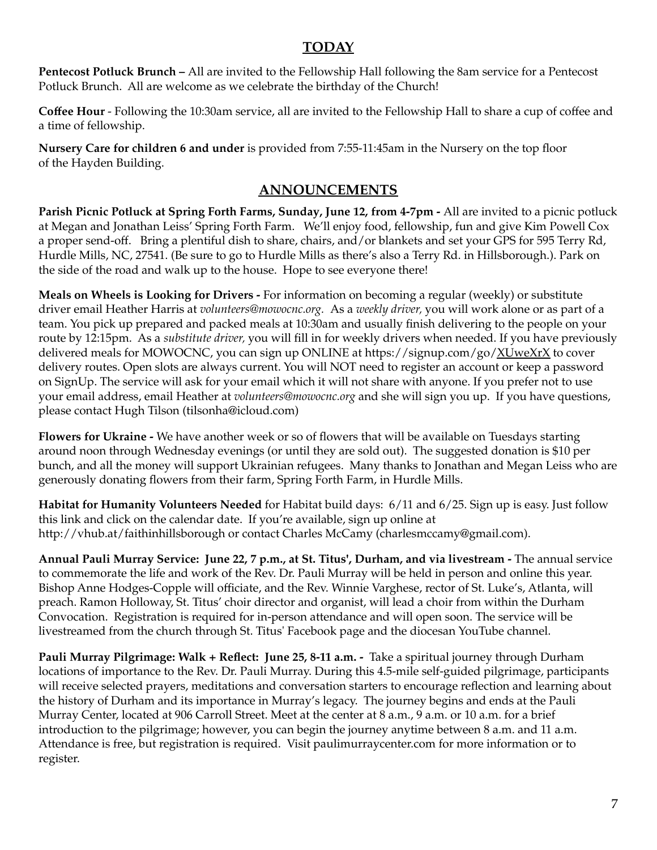# **TODAY**

**Pentecost Potluck Brunch –** All are invited to the Fellowship Hall following the 8am service for a Pentecost Potluck Brunch. All are welcome as we celebrate the birthday of the Church!

**Coffee Hour** - Following the 10:30am service, all are invited to the Fellowship Hall to share a cup of coffee and a time of fellowship.

**Nursery Care for children 6 and under** is provided from 7:55-11:45am in the Nursery on the top floor of the Hayden Building.

# **ANNOUNCEMENTS**

**Parish Picnic Potluck at Spring Forth Farms, Sunday, June 12, from 4-7pm -** All are invited to a picnic potluck at Megan and Jonathan Leiss' Spring Forth Farm. We'll enjoy food, fellowship, fun and give Kim Powell Cox a proper send-off. Bring a plentiful dish to share, chairs, and/or blankets and set your GPS for 595 Terry Rd, Hurdle Mills, NC, 27541. (Be sure to go to Hurdle Mills as there's also a Terry Rd. in Hillsborough.). Park on the side of the road and walk up to the house. Hope to see everyone there!

**Meals on Wheels is Looking for Drivers -** For information on becoming a regular (weekly) or substitute driver email Heather Harris at *volunteers@mowocnc.org.* As a *weekly driver,* you will work alone or as part of a team. You pick up prepared and packed meals at 10:30am and usually finish delivering to the people on your route by 12:15pm. As a *substitute driver,* you will fill in for weekly drivers when needed. If you have previously delivered meals for MOWOCNC, you can sign up ONLINE at https://signup.com/go/ $XUweXrX$  to cover delivery routes. Open slots are always current. You will NOT need to register an account or keep a password on SignUp. The service will ask for your email which it will not share with anyone. If you prefer not to use your email address, email Heather at *volunteers@mowocnc.org* and she will sign you up. If you have questions, please contact Hugh Tilson (tilsonha@icloud.com)

**Flowers for Ukraine -** We have another week or so of flowers that will be available on Tuesdays starting around noon through Wednesday evenings (or until they are sold out). The suggested donation is \$10 per bunch, and all the money will support Ukrainian refugees. Many thanks to Jonathan and Megan Leiss who are generously donating flowers from their farm, Spring Forth Farm, in Hurdle Mills.

**Habitat for Humanity Volunteers Needed** for Habitat build days: 6/11 and 6/25. Sign up is easy. Just follow this link and click on the calendar date. If you're available, sign up online at http://vhub.at/faithinhillsborough or contact Charles McCamy (charlesmccamy@gmail.com).

**Annual Pauli Murray Service: June 22, 7 p.m., at St. Titus', Durham, and via livestream -** The annual service to commemorate the life and work of the Rev. Dr. Pauli Murray will be held in person and online this year. Bishop Anne Hodges-Copple will officiate, and the Rev. Winnie Varghese, rector of St. Luke's, Atlanta, will preach. Ramon Holloway, St. Titus' choir director and organist, will lead a choir from within the Durham Convocation. Registration is required for in-person attendance and will open soon. The service will be livestreamed from the church through St. Titus' Facebook page and the diocesan YouTube channel.

**Pauli Murray Pilgrimage: Walk + Reflect: June 25, 8-11 a.m. -** Take a spiritual journey through Durham locations of importance to the Rev. Dr. Pauli Murray. During this 4.5-mile self-guided pilgrimage, participants will receive selected prayers, meditations and conversation starters to encourage reflection and learning about the history of Durham and its importance in Murray's legacy. The journey begins and ends at the Pauli Murray Center, located at 906 Carroll Street. Meet at the center at 8 a.m., 9 a.m. or 10 a.m. for a brief introduction to the pilgrimage; however, you can begin the journey anytime between 8 a.m. and 11 a.m. Attendance is free, but registration is required. Visit paulimurraycenter.com for more information or to register.